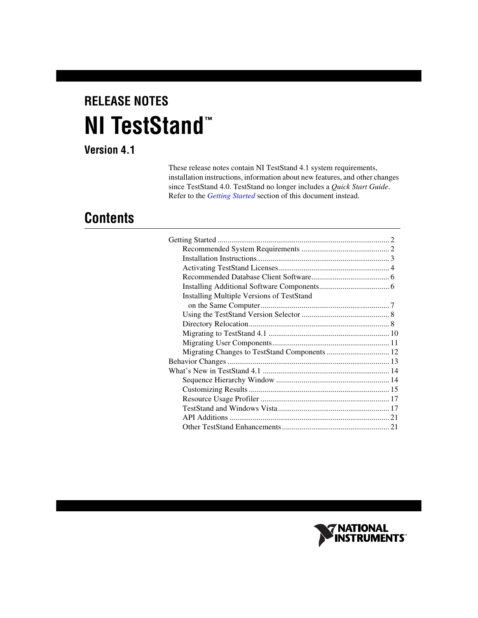# **RELEASE NOTES NI TestStand ™**

# **Version 4.1**

These release notes contain NI TestStand 4.1 system requirements, installation instructions, information about new features, and other changes since TestStand 4.0. TestStand no longer includes a *Quick Start Guide*. Refer to the *[Getting Started](#page-1-0)* section of this document instead.

# **Contents**

| <b>Installing Multiple Versions of TestStand</b> |  |
|--------------------------------------------------|--|
|                                                  |  |
|                                                  |  |
|                                                  |  |
|                                                  |  |
|                                                  |  |
| Migrating Changes to TestStand Components  12    |  |
|                                                  |  |
|                                                  |  |
|                                                  |  |
|                                                  |  |
|                                                  |  |
|                                                  |  |
|                                                  |  |
|                                                  |  |
|                                                  |  |

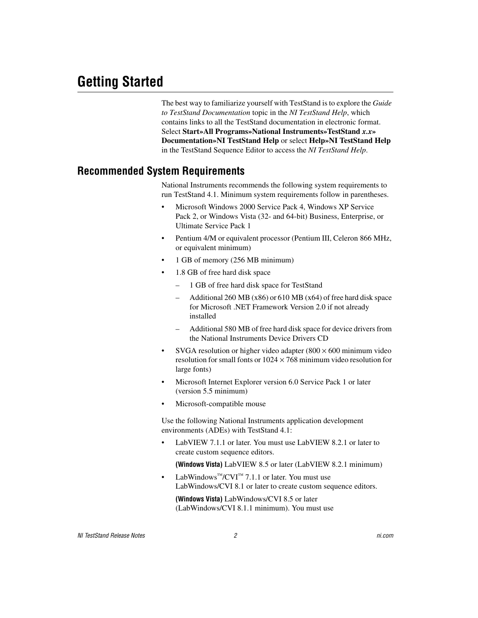<span id="page-1-0"></span>The best way to familiarize yourself with TestStand is to explore the *Guide to TestStand Documentation* topic in the *NI TestStand Help*, which contains links to all the TestStand documentation in electronic format. Select **Start»All Programs»National Instruments»TestStand** *x.x***» Documentation»NI TestStand Help** or select **Help»NI TestStand Help** in the TestStand Sequence Editor to access the *NI TestStand Help*.

#### <span id="page-1-1"></span>**Recommended System Requirements**

National Instruments recommends the following system requirements to run TestStand 4.1. Minimum system requirements follow in parentheses.

- Microsoft Windows 2000 Service Pack 4, Windows XP Service Pack 2, or Windows Vista (32- and 64-bit) Business, Enterprise, or Ultimate Service Pack 1
- Pentium 4/M or equivalent processor (Pentium III, Celeron 866 MHz, or equivalent minimum)
- 1 GB of memory (256 MB minimum)
- 1.8 GB of free hard disk space
	- 1 GB of free hard disk space for TestStand
	- Additional 260 MB (x86) or 610 MB (x64) of free hard disk space for Microsoft .NET Framework Version 2.0 if not already installed
	- Additional 580 MB of free hard disk space for device drivers from the National Instruments Device Drivers CD
- SVGA resolution or higher video adapter  $(800 \times 600 \text{ minimum video})$ resolution for small fonts or  $1024 \times 768$  minimum video resolution for large fonts)
- Microsoft Internet Explorer version 6.0 Service Pack 1 or later (version 5.5 minimum)
- Microsoft-compatible mouse

Use the following National Instruments application development environments (ADEs) with TestStand 4.1:

• LabVIEW 7.1.1 or later. You must use LabVIEW 8.2.1 or later to create custom sequence editors.

**(Windows Vista)** LabVIEW 8.5 or later (LabVIEW 8.2.1 minimum)

• LabWindows<sup>™</sup>/CVI<sup>™</sup> 7.1.1 or later. You must use LabWindows/CVI 8.1 or later to create custom sequence editors.

**(Windows Vista)** LabWindows/CVI 8.5 or later (LabWindows/CVI 8.1.1 minimum). You must use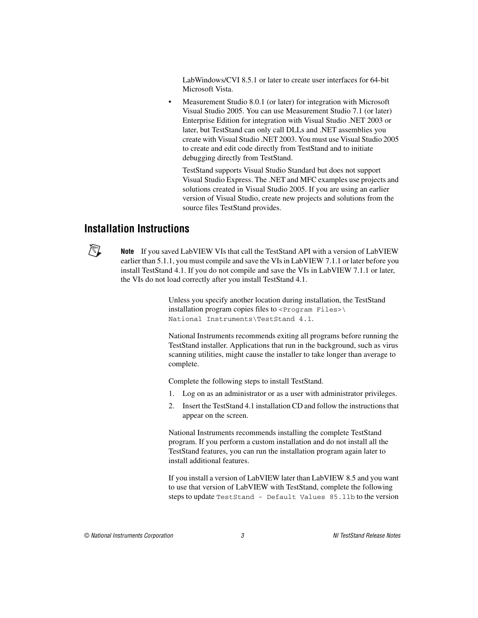LabWindows/CVI 8.5.1 or later to create user interfaces for 64-bit Microsoft Vista.

• Measurement Studio 8.0.1 (or later) for integration with Microsoft Visual Studio 2005. You can use Measurement Studio 7.1 (or later) Enterprise Edition for integration with Visual Studio .NET 2003 or later, but TestStand can only call DLLs and .NET assemblies you create with Visual Studio .NET 2003. You must use Visual Studio 2005 to create and edit code directly from TestStand and to initiate debugging directly from TestStand.

TestStand supports Visual Studio Standard but does not support Visual Studio Express. The .NET and MFC examples use projects and solutions created in Visual Studio 2005. If you are using an earlier version of Visual Studio, create new projects and solutions from the source files TestStand provides.

#### <span id="page-2-0"></span>**Installation Instructions**



**Note** If you saved LabVIEW VIs that call the TestStand API with a version of LabVIEW earlier than 5.1.1, you must compile and save the VIs in LabVIEW 7.1.1 or later before you install TestStand 4.1. If you do not compile and save the VIs in LabVIEW 7.1.1 or later, the VIs do not load correctly after you install TestStand 4.1.

> Unless you specify another location during installation, the TestStand installation program copies files to  $\langle$  Program Files> $\setminus$ National Instruments\TestStand 4.1.

National Instruments recommends exiting all programs before running the TestStand installer. Applications that run in the background, such as virus scanning utilities, might cause the installer to take longer than average to complete.

Complete the following steps to install TestStand.

- 1. Log on as an administrator or as a user with administrator privileges.
- 2. Insert the TestStand 4.1 installation CD and follow the instructions that appear on the screen.

National Instruments recommends installing the complete TestStand program. If you perform a custom installation and do not install all the TestStand features, you can run the installation program again later to install additional features.

If you install a version of LabVIEW later than LabVIEW 8.5 and you want to use that version of LabVIEW with TestStand, complete the following steps to update TestStand - Default Values 85.llb to the version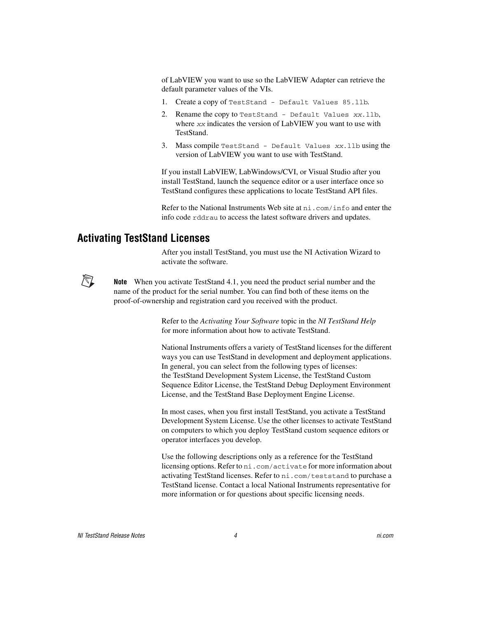of LabVIEW you want to use so the LabVIEW Adapter can retrieve the default parameter values of the VIs.

- 1. Create a copy of TestStand Default Values 85.llb.
- 2. Rename the copy to TestStand Default Values xx.llb, where xx indicates the version of LabVIEW you want to use with TestStand.
- 3. Mass compile TestStand Default Values xx.llb using the version of LabVIEW you want to use with TestStand.

If you install LabVIEW, LabWindows/CVI, or Visual Studio after you install TestStand, launch the sequence editor or a user interface once so TestStand configures these applications to locate TestStand API files.

Refer to the National Instruments Web site at ni.com/info and enter the info code rddrau to access the latest software drivers and updates.

#### <span id="page-3-0"></span>**Activating TestStand Licenses**

After you install TestStand, you must use the NI Activation Wizard to activate the software.



**Note** When you activate TestStand 4.1, you need the product serial number and the name of the product for the serial number. You can find both of these items on the proof-of-ownership and registration card you received with the product.

> Refer to the *Activating Your Software* topic in the *NI TestStand Help* for more information about how to activate TestStand.

National Instruments offers a variety of TestStand licenses for the different ways you can use TestStand in development and deployment applications. In general, you can select from the following types of licenses: the TestStand Development System License, the TestStand Custom Sequence Editor License, the TestStand Debug Deployment Environment License, and the TestStand Base Deployment Engine License.

In most cases, when you first install TestStand, you activate a TestStand Development System License. Use the other licenses to activate TestStand on computers to which you deploy TestStand custom sequence editors or operator interfaces you develop.

Use the following descriptions only as a reference for the TestStand licensing options. Refer to ni.com/activate for more information about activating TestStand licenses. Refer to ni.com/teststand to purchase a TestStand license. Contact a local National Instruments representative for more information or for questions about specific licensing needs.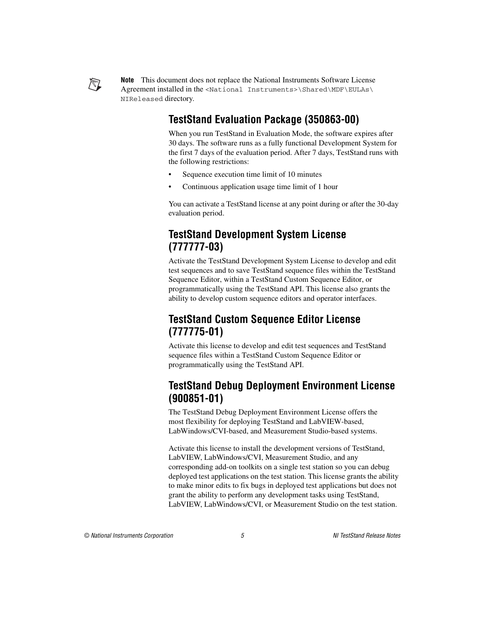

**Note** This document does not replace the National Instruments Software License Agreement installed in the <National Instruments>\Shared\MDF\EULAs\ NIReleased directory.

# **TestStand Evaluation Package (350863-00)**

When you run TestStand in Evaluation Mode, the software expires after 30 days. The software runs as a fully functional Development System for the first 7 days of the evaluation period. After 7 days, TestStand runs with the following restrictions:

- Sequence execution time limit of 10 minutes
- Continuous application usage time limit of 1 hour

You can activate a TestStand license at any point during or after the 30-day evaluation period.

# **TestStand Development System License (777777-03)**

Activate the TestStand Development System License to develop and edit test sequences and to save TestStand sequence files within the TestStand Sequence Editor, within a TestStand Custom Sequence Editor, or programmatically using the TestStand API. This license also grants the ability to develop custom sequence editors and operator interfaces.

# **TestStand Custom Sequence Editor License (777775-01)**

Activate this license to develop and edit test sequences and TestStand sequence files within a TestStand Custom Sequence Editor or programmatically using the TestStand API.

# **TestStand Debug Deployment Environment License (900851-01)**

The TestStand Debug Deployment Environment License offers the most flexibility for deploying TestStand and LabVIEW-based, LabWindows/CVI-based, and Measurement Studio-based systems.

Activate this license to install the development versions of TestStand, LabVIEW, LabWindows/CVI, Measurement Studio, and any corresponding add-on toolkits on a single test station so you can debug deployed test applications on the test station. This license grants the ability to make minor edits to fix bugs in deployed test applications but does not grant the ability to perform any development tasks using TestStand, LabVIEW, LabWindows/CVI, or Measurement Studio on the test station.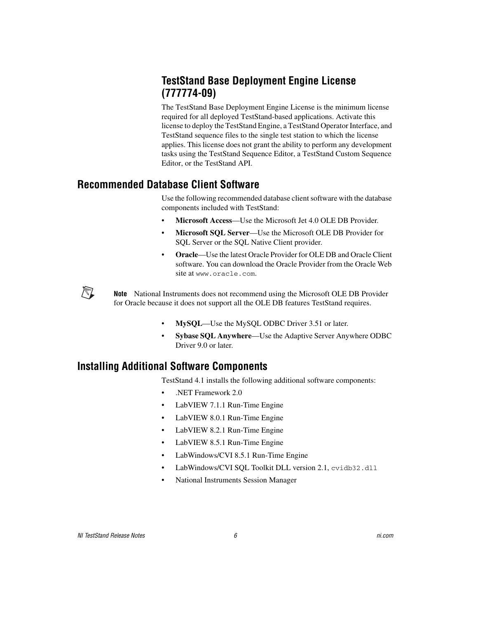# **TestStand Base Deployment Engine License (777774-09)**

The TestStand Base Deployment Engine License is the minimum license required for all deployed TestStand-based applications. Activate this license to deploy the TestStand Engine, a TestStand Operator Interface, and TestStand sequence files to the single test station to which the license applies. This license does not grant the ability to perform any development tasks using the TestStand Sequence Editor, a TestStand Custom Sequence Editor, or the TestStand API.

#### <span id="page-5-0"></span>**Recommended Database Client Software**

Use the following recommended database client software with the database components included with TestStand:

- **Microsoft Access**—Use the Microsoft Jet 4.0 OLE DB Provider.
- **Microsoft SQL Server**—Use the Microsoft OLE DB Provider for SQL Server or the SQL Native Client provider.
- **Oracle**—Use the latest Oracle Provider for OLE DB and Oracle Client software. You can download the Oracle Provider from the Oracle Web site at www.oracle.com.

**Note** National Instruments does not recommend using the Microsoft OLE DB Provider for Oracle because it does not support all the OLE DB features TestStand requires.

- **MySQL**—Use the MySQL ODBC Driver 3.51 or later.
- **Sybase SQL Anywhere**—Use the Adaptive Server Anywhere ODBC Driver 9.0 or later.

# <span id="page-5-1"></span>**Installing Additional Software Components**

TestStand 4.1 installs the following additional software components:

- .NET Framework 2.0
- LabVIEW 7.1.1 Run-Time Engine
- LabVIEW 8.0.1 Run-Time Engine
- LabVIEW 8.2.1 Run-Time Engine
- LabVIEW 8.5.1 Run-Time Engine
- LabWindows/CVI 8.5.1 Run-Time Engine
- LabWindows/CVI SQL Toolkit DLL version 2.1, cvidb32.dll
- National Instruments Session Manager

 $\mathbb{N}$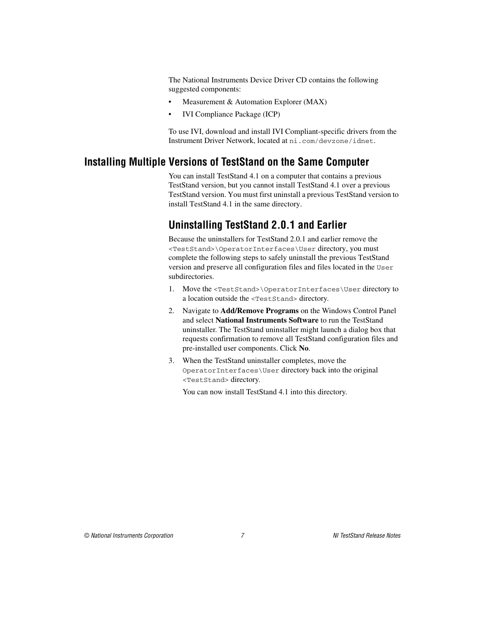The National Instruments Device Driver CD contains the following suggested components:

- Measurement & Automation Explorer (MAX)
- IVI Compliance Package (ICP)

To use IVI, download and install IVI Compliant-specific drivers from the Instrument Driver Network, located at ni.com/devzone/idnet.

### <span id="page-6-0"></span>**Installing Multiple Versions of TestStand on the Same Computer**

You can install TestStand 4.1 on a computer that contains a previous TestStand version, but you cannot install TestStand 4.1 over a previous TestStand version. You must first uninstall a previous TestStand version to install TestStand 4.1 in the same directory.

# **Uninstalling TestStand 2.0.1 and Earlier**

Because the uninstallers for TestStand 2.0.1 and earlier remove the <TestStand>\OperatorInterfaces\User directory, you must complete the following steps to safely uninstall the previous TestStand version and preserve all configuration files and files located in the User subdirectories.

- 1. Move the <TestStand>\OperatorInterfaces\User directory to a location outside the <TestStand> directory.
- 2. Navigate to **Add/Remove Programs** on the Windows Control Panel and select **National Instruments Software** to run the TestStand uninstaller. The TestStand uninstaller might launch a dialog box that requests confirmation to remove all TestStand configuration files and pre-installed user components. Click **No**.
- 3. When the TestStand uninstaller completes, move the OperatorInterfaces\User directory back into the original <TestStand> directory.

You can now install TestStand 4.1 into this directory.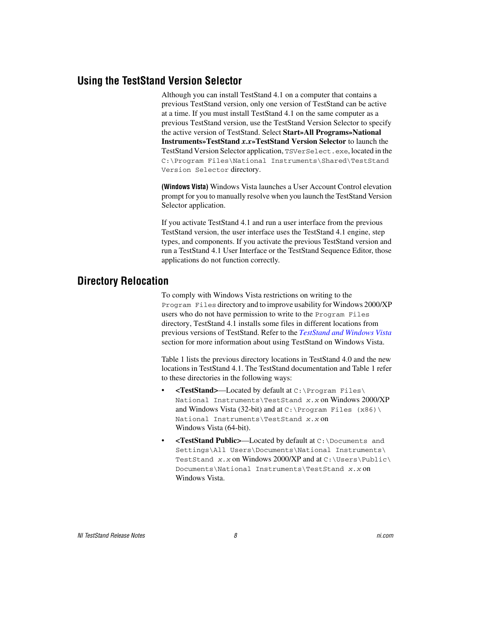#### <span id="page-7-0"></span>**Using the TestStand Version Selector**

Although you can install TestStand 4.1 on a computer that contains a previous TestStand version, only one version of TestStand can be active at a time. If you must install TestStand 4.1 on the same computer as a previous TestStand version, use the TestStand Version Selector to specify the active version of TestStand. Select **Start»All Programs»National Instruments»TestStand** *x.x***»TestStand Version Selector** to launch the TestStand Version Selector application, TSVerSelect.exe, located in the C:\Program Files\National Instruments\Shared\TestStand Version Selector directory.

**(Windows Vista)** Windows Vista launches a User Account Control elevation prompt for you to manually resolve when you launch the TestStand Version Selector application.

If you activate TestStand 4.1 and run a user interface from the previous TestStand version, the user interface uses the TestStand 4.1 engine, step types, and components. If you activate the previous TestStand version and run a TestStand 4.1 User Interface or the TestStand Sequence Editor, those applications do not function correctly.

#### <span id="page-7-1"></span>**Directory Relocation**

To comply with Windows Vista restrictions on writing to the Program Files directory and to improve usability for Windows 2000/XP users who do not have permission to write to the Program Files directory, TestStand 4.1 installs some files in different locations from previous versions of TestStand. Refer to the *[TestStand and Windows Vista](#page-16-1)* section for more information about using TestStand on Windows Vista.

Table [1](#page-8-0) lists the previous directory locations in TestStand 4.0 and the new locations in TestStand 4.1. The TestStand documentation and Tabl[e 1](#page-8-0) refer to these directories in the following ways:

- **<TestStand>**—Located by default at C:\Program Files\ National Instruments\TestStand x.x on Windows 2000/XP and Windows Vista (32-bit) and at  $C:\Per\gamma$  Files (x86) \ National Instruments\TestStand x.x on Windows Vista (64-bit).
- **<TestStand Public>**—Located by default at C:\Documents and Settings\All Users\Documents\National Instruments\ TestStand  $x$ . x on Windows 2000/XP and at C:\Users\Public\ Documents\National Instruments\TestStand x.x on Windows Vista.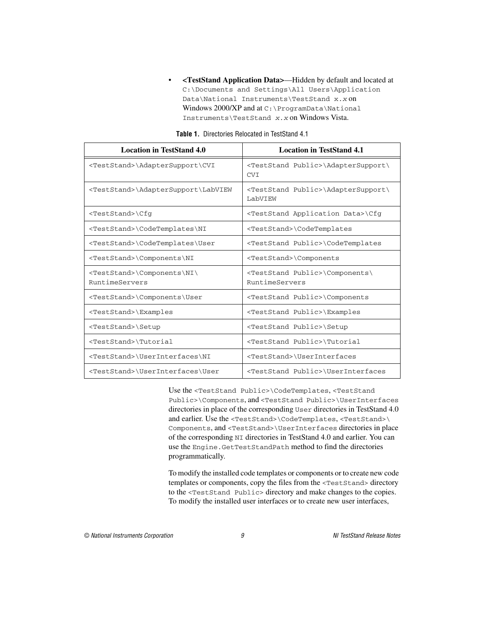• **<TestStand Application Data>**—Hidden by default and located at C:\Documents and Settings\All Users\Application Data\National Instruments\TestStand x.x on Windows 2000/XP and at C:\ProgramData\National Instruments\TestStand x.x on Windows Vista.

<span id="page-8-0"></span>

| <b>Location in TestStand 4.0</b>                          | <b>Location in TestStand 4.1</b>                                 |
|-----------------------------------------------------------|------------------------------------------------------------------|
| <teststand>\AdapterSupport\CVI</teststand>                | <teststand public="">\AdapterSupport\<br/><b>CVI</b></teststand> |
| <teststand>\AdapterSupport\LabVIEW</teststand>            | <teststand public="">\AdapterSupport\<br/>LabVIEW</teststand>    |
| <teststand>\Cfq</teststand>                               | <teststand application="" data="">\Cfq</teststand>               |
| <teststand>\CodeTemplates\NI</teststand>                  | <teststand>\CodeTemplates</teststand>                            |
| <teststand>\CodeTemplates\User</teststand>                | <teststand public="">\CodeTemplates</teststand>                  |
| <teststand>\Components\NI</teststand>                     | <teststand>\Components</teststand>                               |
| <teststand>\Components\NI\<br/>RuntimeServers</teststand> | <teststand public="">\Components\<br/>RuntimeServers</teststand> |
| <teststand>\Components\User</teststand>                   | <teststand public="">\Components</teststand>                     |
| <teststand>\Examples</teststand>                          | <teststand public="">\Examples</teststand>                       |
| <teststand>\Setup</teststand>                             | <teststand public="">\Setup</teststand>                          |
| <teststand>\Tutorial</teststand>                          | <teststand public="">\Tutorial</teststand>                       |
| <teststand>\UserInterfaces\NI</teststand>                 | <teststand>\UserInterfaces</teststand>                           |
| <teststand>\UserInterfaces\User</teststand>               | <teststand public="">\UserInterfaces</teststand>                 |

**Table 1.** Directories Relocated in TestStand 4.1

Use the <TestStand Public>\CodeTemplates, <TestStand Public>\Components, and <TestStand Public>\UserInterfaces directories in place of the corresponding User directories in TestStand 4.0 and earlier. Use the <TestStand>\CodeTemplates, <TestStand>\ Components, and <TestStand>\UserInterfaces directories in place of the corresponding NI directories in TestStand 4.0 and earlier. You can use the Engine.GetTestStandPath method to find the directories programmatically.

To modify the installed code templates or components or to create new code templates or components, copy the files from the <TestStand> directory to the <TestStand Public> directory and make changes to the copies. To modify the installed user interfaces or to create new user interfaces,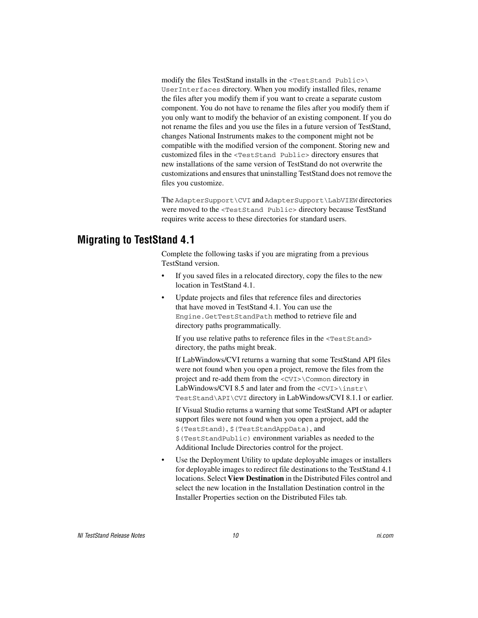modify the files TestStand installs in the <TestStand Public>\ UserInterfaces directory. When you modify installed files, rename the files after you modify them if you want to create a separate custom component. You do not have to rename the files after you modify them if you only want to modify the behavior of an existing component. If you do not rename the files and you use the files in a future version of TestStand, changes National Instruments makes to the component might not be compatible with the modified version of the component. Storing new and customized files in the <TestStand Public> directory ensures that new installations of the same version of TestStand do not overwrite the customizations and ensures that uninstalling TestStand does not remove the files you customize.

The AdapterSupport\CVI and AdapterSupport\LabVIEW directories were moved to the <TestStand Public> directory because TestStand requires write access to these directories for standard users.

#### <span id="page-9-0"></span>**Migrating to TestStand 4.1**

Complete the following tasks if you are migrating from a previous TestStand version.

- If you saved files in a relocated directory, copy the files to the new location in TestStand 4.1.
- Update projects and files that reference files and directories that have moved in TestStand 4.1. You can use the Engine.GetTestStandPath method to retrieve file and directory paths programmatically.

If you use relative paths to reference files in the <TestStand> directory, the paths might break.

If LabWindows/CVI returns a warning that some TestStand API files were not found when you open a project, remove the files from the project and re-add them from the <CVI>\Common directory in LabWindows/CVI 8.5 and later and from the  $\langle$ CVI $>$ \instr\ TestStand\API\CVI directory in LabWindows/CVI 8.1.1 or earlier.

If Visual Studio returns a warning that some TestStand API or adapter support files were not found when you open a project, add the \$(TestStand), \$(TestStandAppData), and \$(TestStandPublic) environment variables as needed to the Additional Include Directories control for the project.

Use the Deployment Utility to update deployable images or installers for deployable images to redirect file destinations to the TestStand 4.1 locations. Select **View Destination** in the Distributed Files control and select the new location in the Installation Destination control in the Installer Properties section on the Distributed Files tab.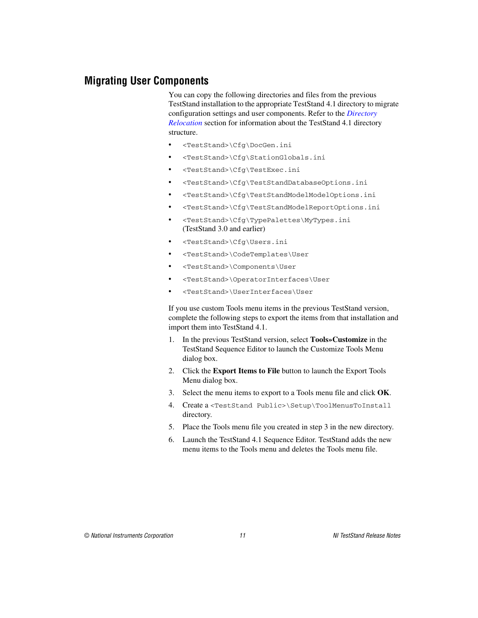#### <span id="page-10-0"></span>**Migrating User Components**

You can copy the following directories and files from the previous TestStand installation to the appropriate TestStand 4.1 directory to migrate configuration settings and user components. Refer to the *[Directory](#page-7-1)  [Relocation](#page-7-1)* section for information about the TestStand 4.1 directory structure.

- <TestStand>\Cfg\DocGen.ini
- <TestStand>\Cfg\StationGlobals.ini
- <TestStand>\Cfg\TestExec.ini
- <TestStand>\Cfg\TestStandDatabaseOptions.ini
- <TestStand>\Cfg\TestStandModelModelOptions.ini
- <TestStand>\Cfg\TestStandModelReportOptions.ini
- <TestStand>\Cfg\TypePalettes\MyTypes.ini (TestStand 3.0 and earlier)
- <TestStand>\Cfg\Users.ini
- <TestStand>\CodeTemplates\User
- <TestStand>\Components\User
- <TestStand>\OperatorInterfaces\User
- <TestStand>\UserInterfaces\User

If you use custom Tools menu items in the previous TestStand version, complete the following steps to export the items from that installation and import them into TestStand 4.1.

- 1. In the previous TestStand version, select **Tools»Customize** in the TestStand Sequence Editor to launch the Customize Tools Menu dialog box.
- 2. Click the **Export Items to File** button to launch the Export Tools Menu dialog box.
- <span id="page-10-1"></span>3. Select the menu items to export to a Tools menu file and click **OK**.
- 4. Create a <TestStand Public>\Setup\ToolMenusToInstall directory.
- 5. Place the Tools menu file you created in step [3](#page-10-1) in the new directory.
- 6. Launch the TestStand 4.1 Sequence Editor. TestStand adds the new menu items to the Tools menu and deletes the Tools menu file.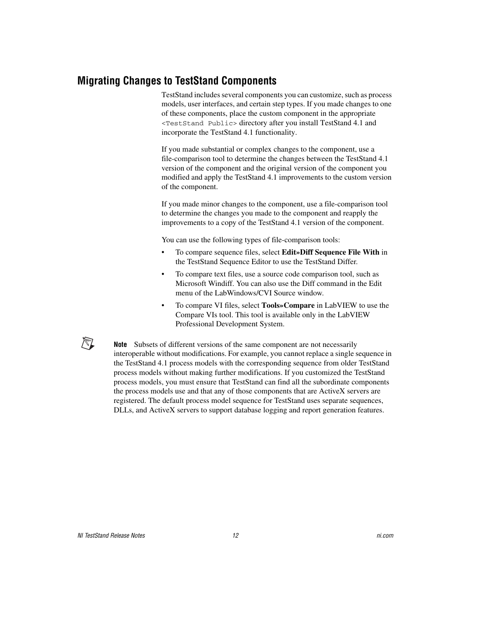#### <span id="page-11-0"></span>**Migrating Changes to TestStand Components**

TestStand includes several components you can customize, such as process models, user interfaces, and certain step types. If you made changes to one of these components, place the custom component in the appropriate <TestStand Public> directory after you install TestStand 4.1 and incorporate the TestStand 4.1 functionality.

If you made substantial or complex changes to the component, use a file-comparison tool to determine the changes between the TestStand 4.1 version of the component and the original version of the component you modified and apply the TestStand 4.1 improvements to the custom version of the component.

If you made minor changes to the component, use a file-comparison tool to determine the changes you made to the component and reapply the improvements to a copy of the TestStand 4.1 version of the component.

You can use the following types of file-comparison tools:

- To compare sequence files, select **Edit»Diff Sequence File With** in the TestStand Sequence Editor to use the TestStand Differ.
- To compare text files, use a source code comparison tool, such as Microsoft Windiff. You can also use the Diff command in the Edit menu of the LabWindows/CVI Source window.
- To compare VI files, select **Tools»Compare** in LabVIEW to use the Compare VIs tool. This tool is available only in the LabVIEW Professional Development System.

**Note** Subsets of different versions of the same component are not necessarily interoperable without modifications. For example, you cannot replace a single sequence in the TestStand 4.1 process models with the corresponding sequence from older TestStand process models without making further modifications. If you customized the TestStand process models, you must ensure that TestStand can find all the subordinate components the process models use and that any of those components that are ActiveX servers are registered. The default process model sequence for TestStand uses separate sequences, DLLs, and ActiveX servers to support database logging and report generation features.

∧∇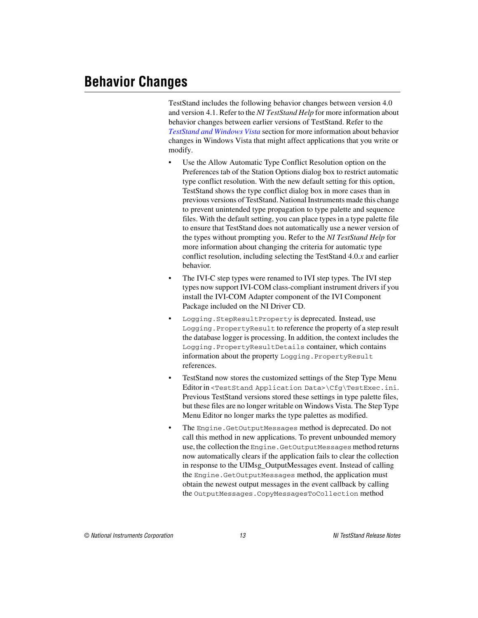<span id="page-12-0"></span>TestStand includes the following behavior changes between version 4.0 and version 4.1. Refer to the *NI TestStand Help* for more information about behavior changes between earlier versions of TestStand. Refer to the *[TestStand and Windows Vista](#page-16-1)* section for more information about behavior changes in Windows Vista that might affect applications that you write or modify.

- Use the Allow Automatic Type Conflict Resolution option on the Preferences tab of the Station Options dialog box to restrict automatic type conflict resolution. With the new default setting for this option, TestStand shows the type conflict dialog box in more cases than in previous versions of TestStand. National Instruments made this change to prevent unintended type propagation to type palette and sequence files. With the default setting, you can place types in a type palette file to ensure that TestStand does not automatically use a newer version of the types without prompting you. Refer to the *NI TestStand Help* for more information about changing the criteria for automatic type conflict resolution, including selecting the TestStand 4.0.*x* and earlier behavior.
- The IVI-C step types were renamed to IVI step types. The IVI step types now support IVI-COM class-compliant instrument drivers if you install the IVI-COM Adapter component of the IVI Component Package included on the NI Driver CD.
- Logging. StepResultProperty is deprecated. Instead, use Logging. PropertyResult to reference the property of a step result the database logger is processing. In addition, the context includes the Logging.PropertyResultDetails container, which contains information about the property Logging. PropertyResult references.
- TestStand now stores the customized settings of the Step Type Menu Editor in <TestStand Application Data>\Cfg\TestExec.ini. Previous TestStand versions stored these settings in type palette files, but these files are no longer writable on Windows Vista. The Step Type Menu Editor no longer marks the type palettes as modified.
- The Engine.GetOutputMessages method is deprecated. Do not call this method in new applications. To prevent unbounded memory use, the collection the Engine.GetOutputMessages method returns now automatically clears if the application fails to clear the collection in response to the UIMsg\_OutputMessages event. Instead of calling the Engine.GetOutputMessages method, the application must obtain the newest output messages in the event callback by calling the OutputMessages.CopyMessagesToCollection method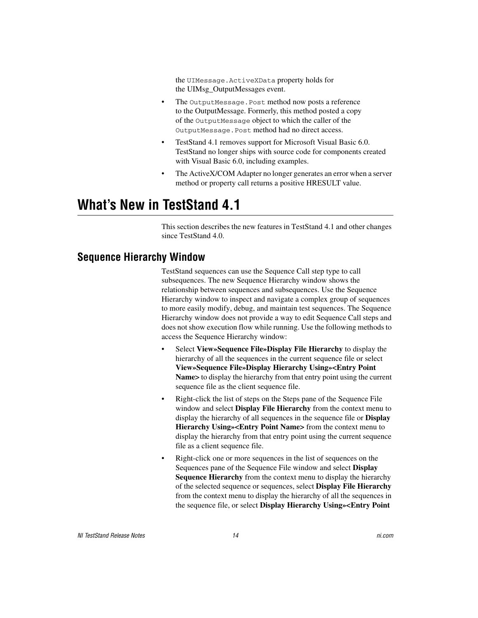the UIMessage.ActiveXData property holds for the UIMsg\_OutputMessages event.

- The OutputMessage. Post method now posts a reference to the OutputMessage. Formerly, this method posted a copy of the OutputMessage object to which the caller of the OutputMessage.Post method had no direct access.
- TestStand 4.1 removes support for Microsoft Visual Basic 6.0. TestStand no longer ships with source code for components created with Visual Basic 6.0, including examples.
- The ActiveX/COM Adapter no longer generates an error when a server method or property call returns a positive HRESULT value.

# <span id="page-13-0"></span>**What's New in TestStand 4.1**

This section describes the new features in TestStand 4.1 and other changes since TestStand 4.0.

#### <span id="page-13-1"></span>**Sequence Hierarchy Window**

TestStand sequences can use the Sequence Call step type to call subsequences. The new Sequence Hierarchy window shows the relationship between sequences and subsequences. Use the Sequence Hierarchy window to inspect and navigate a complex group of sequences to more easily modify, debug, and maintain test sequences. The Sequence Hierarchy window does not provide a way to edit Sequence Call steps and does not show execution flow while running. Use the following methods to access the Sequence Hierarchy window:

- Select **View»Sequence File»Display File Hierarchy** to display the hierarchy of all the sequences in the current sequence file or select **View»Sequence File»Display Hierarchy Using»<Entry Point Name>** to display the hierarchy from that entry point using the current sequence file as the client sequence file.
- Right-click the list of steps on the Steps pane of the Sequence File window and select **Display File Hierarchy** from the context menu to display the hierarchy of all sequences in the sequence file or **Display Hierarchy Using»<Entry Point Name>** from the context menu to display the hierarchy from that entry point using the current sequence file as a client sequence file.
- Right-click one or more sequences in the list of sequences on the Sequences pane of the Sequence File window and select **Display Sequence Hierarchy** from the context menu to display the hierarchy of the selected sequence or sequences, select **Display File Hierarchy** from the context menu to display the hierarchy of all the sequences in the sequence file, or select **Display Hierarchy Using»<Entry Point**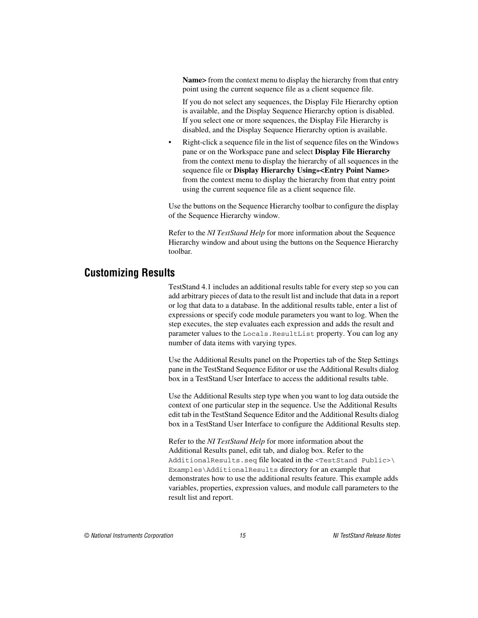**Name>** from the context menu to display the hierarchy from that entry point using the current sequence file as a client sequence file.

If you do not select any sequences, the Display File Hierarchy option is available, and the Display Sequence Hierarchy option is disabled. If you select one or more sequences, the Display File Hierarchy is disabled, and the Display Sequence Hierarchy option is available.

• Right-click a sequence file in the list of sequence files on the Windows pane or on the Workspace pane and select **Display File Hierarchy**  from the context menu to display the hierarchy of all sequences in the sequence file or **Display Hierarchy Using»<Entry Point Name>** from the context menu to display the hierarchy from that entry point using the current sequence file as a client sequence file.

Use the buttons on the Sequence Hierarchy toolbar to configure the display of the Sequence Hierarchy window.

Refer to the *NI TestStand Help* for more information about the Sequence Hierarchy window and about using the buttons on the Sequence Hierarchy toolbar.

#### <span id="page-14-0"></span>**Customizing Results**

TestStand 4.1 includes an additional results table for every step so you can add arbitrary pieces of data to the result list and include that data in a report or log that data to a database. In the additional results table, enter a list of expressions or specify code module parameters you want to log. When the step executes, the step evaluates each expression and adds the result and parameter values to the Locals.ResultList property. You can log any number of data items with varying types.

Use the Additional Results panel on the Properties tab of the Step Settings pane in the TestStand Sequence Editor or use the Additional Results dialog box in a TestStand User Interface to access the additional results table.

Use the Additional Results step type when you want to log data outside the context of one particular step in the sequence. Use the Additional Results edit tab in the TestStand Sequence Editor and the Additional Results dialog box in a TestStand User Interface to configure the Additional Results step.

Refer to the *NI TestStand Help* for more information about the Additional Results panel, edit tab, and dialog box. Refer to the AdditionalResults.seq file located in the <TestStand Public>\ Examples\AdditionalResults directory for an example that demonstrates how to use the additional results feature. This example adds variables, properties, expression values, and module call parameters to the result list and report.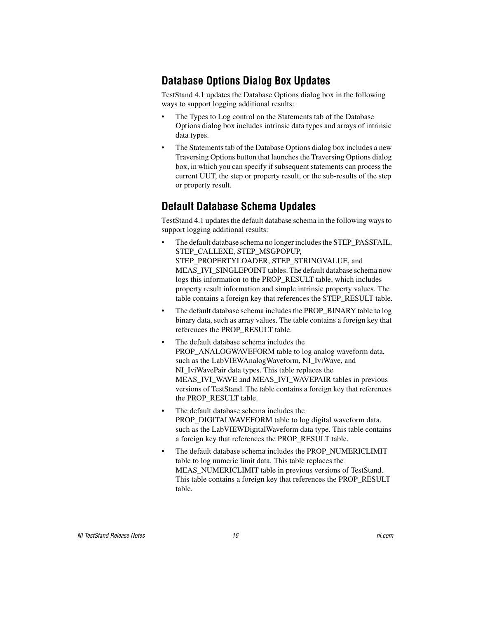# **Database Options Dialog Box Updates**

TestStand 4.1 updates the Database Options dialog box in the following ways to support logging additional results:

- The Types to Log control on the Statements tab of the Database Options dialog box includes intrinsic data types and arrays of intrinsic data types.
- The Statements tab of the Database Options dialog box includes a new Traversing Options button that launches the Traversing Options dialog box, in which you can specify if subsequent statements can process the current UUT, the step or property result, or the sub-results of the step or property result.

# **Default Database Schema Updates**

TestStand 4.1 updates the default database schema in the following ways to support logging additional results:

- The default database schema no longer includes the STEP\_PASSFAIL, STEP\_CALLEXE, STEP\_MSGPOPUP, STEP\_PROPERTYLOADER, STEP\_STRINGVALUE, and MEAS IVI\_SINGLEPOINT tables. The default database schema now logs this information to the PROP\_RESULT table, which includes property result information and simple intrinsic property values. The table contains a foreign key that references the STEP\_RESULT table.
- The default database schema includes the PROP\_BINARY table to log binary data, such as array values. The table contains a foreign key that references the PROP\_RESULT table.
- The default database schema includes the PROP\_ANALOGWAVEFORM table to log analog waveform data, such as the LabVIEWAnalogWaveform, NI\_IviWave, and NI\_IviWavePair data types. This table replaces the MEAS IVI\_WAVE and MEAS\_IVI\_WAVEPAIR tables in previous versions of TestStand. The table contains a foreign key that references the PROP\_RESULT table.
- The default database schema includes the PROP\_DIGITALWAVEFORM table to log digital waveform data, such as the LabVIEWDigitalWaveform data type. This table contains a foreign key that references the PROP\_RESULT table.
- The default database schema includes the PROP\_NUMERICLIMIT table to log numeric limit data. This table replaces the MEAS\_NUMERICLIMIT table in previous versions of TestStand. This table contains a foreign key that references the PROP\_RESULT table.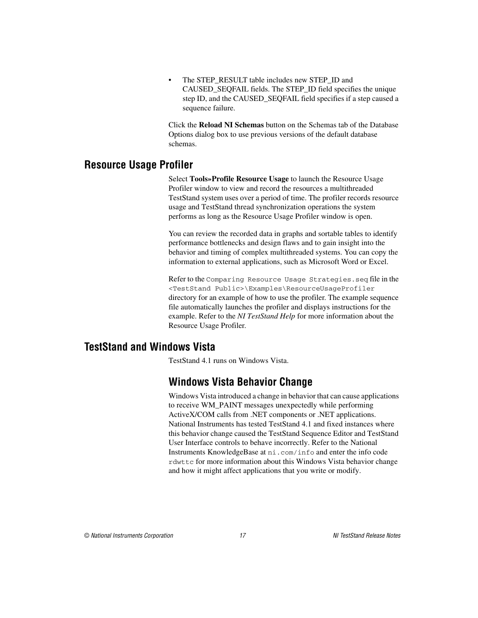The STEP\_RESULT table includes new STEP\_ID and CAUSED\_SEQFAIL fields. The STEP\_ID field specifies the unique step ID, and the CAUSED\_SEQFAIL field specifies if a step caused a sequence failure.

Click the **Reload NI Schemas** button on the Schemas tab of the Database Options dialog box to use previous versions of the default database schemas.

#### <span id="page-16-0"></span>**Resource Usage Profiler**

Select **Tools»Profile Resource Usage** to launch the Resource Usage Profiler window to view and record the resources a multithreaded TestStand system uses over a period of time. The profiler records resource usage and TestStand thread synchronization operations the system performs as long as the Resource Usage Profiler window is open.

You can review the recorded data in graphs and sortable tables to identify performance bottlenecks and design flaws and to gain insight into the behavior and timing of complex multithreaded systems. You can copy the information to external applications, such as Microsoft Word or Excel.

Refer to the Comparing Resource Usage Strategies.seq file in the <TestStand Public>\Examples\ResourceUsageProfiler directory for an example of how to use the profiler. The example sequence file automatically launches the profiler and displays instructions for the example. Refer to the *NI TestStand Help* for more information about the Resource Usage Profiler.

#### <span id="page-16-1"></span>**TestStand and Windows Vista**

TestStand 4.1 runs on Windows Vista.

## **Windows Vista Behavior Change**

Windows Vista introduced a change in behavior that can cause applications to receive WM\_PAINT messages unexpectedly while performing ActiveX/COM calls from .NET components or .NET applications. National Instruments has tested TestStand 4.1 and fixed instances where this behavior change caused the TestStand Sequence Editor and TestStand User Interface controls to behave incorrectly. Refer to the National Instruments KnowledgeBase at ni.com/info and enter the info code rdwttc for more information about this Windows Vista behavior change and how it might affect applications that you write or modify.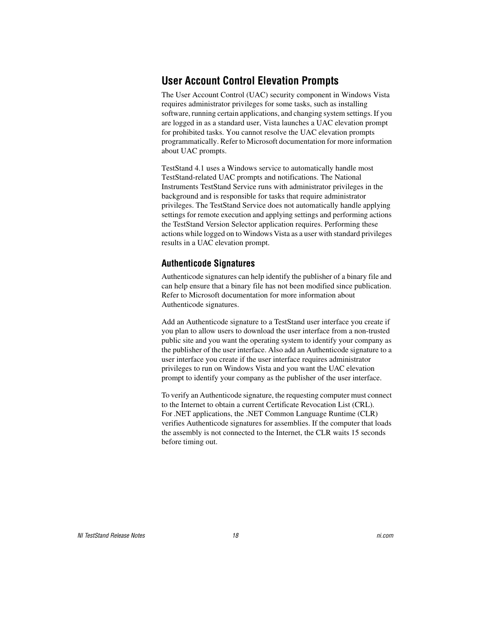# **User Account Control Elevation Prompts**

The User Account Control (UAC) security component in Windows Vista requires administrator privileges for some tasks, such as installing software, running certain applications, and changing system settings. If you are logged in as a standard user, Vista launches a UAC elevation prompt for prohibited tasks. You cannot resolve the UAC elevation prompts programmatically. Refer to Microsoft documentation for more information about UAC prompts.

TestStand 4.1 uses a Windows service to automatically handle most TestStand-related UAC prompts and notifications. The National Instruments TestStand Service runs with administrator privileges in the background and is responsible for tasks that require administrator privileges. The TestStand Service does not automatically handle applying settings for remote execution and applying settings and performing actions the TestStand Version Selector application requires. Performing these actions while logged on to Windows Vista as a user with standard privileges results in a UAC elevation prompt.

#### **Authenticode Signatures**

Authenticode signatures can help identify the publisher of a binary file and can help ensure that a binary file has not been modified since publication. Refer to Microsoft documentation for more information about Authenticode signatures.

Add an Authenticode signature to a TestStand user interface you create if you plan to allow users to download the user interface from a non-trusted public site and you want the operating system to identify your company as the publisher of the user interface. Also add an Authenticode signature to a user interface you create if the user interface requires administrator privileges to run on Windows Vista and you want the UAC elevation prompt to identify your company as the publisher of the user interface.

To verify an Authenticode signature, the requesting computer must connect to the Internet to obtain a current Certificate Revocation List (CRL). For .NET applications, the .NET Common Language Runtime (CLR) verifies Authenticode signatures for assemblies. If the computer that loads the assembly is not connected to the Internet, the CLR waits 15 seconds before timing out.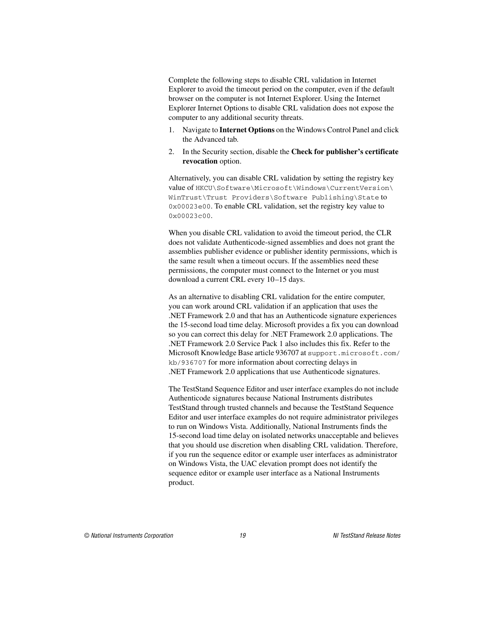Complete the following steps to disable CRL validation in Internet Explorer to avoid the timeout period on the computer, even if the default browser on the computer is not Internet Explorer. Using the Internet Explorer Internet Options to disable CRL validation does not expose the computer to any additional security threats.

- 1. Navigate to **Internet Options** on the Windows Control Panel and click the Advanced tab.
- 2. In the Security section, disable the **Check for publisher's certificate revocation** option.

Alternatively, you can disable CRL validation by setting the registry key value of HKCU\Software\Microsoft\Windows\CurrentVersion\ WinTrust\Trust Providers\Software Publishing\State to 0x00023e00. To enable CRL validation, set the registry key value to 0x00023c00.

When you disable CRL validation to avoid the timeout period, the CLR does not validate Authenticode-signed assemblies and does not grant the assemblies publisher evidence or publisher identity permissions, which is the same result when a timeout occurs. If the assemblies need these permissions, the computer must connect to the Internet or you must download a current CRL every 10–15 days.

As an alternative to disabling CRL validation for the entire computer, you can work around CRL validation if an application that uses the .NET Framework 2.0 and that has an Authenticode signature experiences the 15-second load time delay. Microsoft provides a fix you can download so you can correct this delay for .NET Framework 2.0 applications. The .NET Framework 2.0 Service Pack 1 also includes this fix. Refer to the Microsoft Knowledge Base article 936707 at support.microsoft.com/ kb/936707 for more information about correcting delays in .NET Framework 2.0 applications that use Authenticode signatures.

The TestStand Sequence Editor and user interface examples do not include Authenticode signatures because National Instruments distributes TestStand through trusted channels and because the TestStand Sequence Editor and user interface examples do not require administrator privileges to run on Windows Vista. Additionally, National Instruments finds the 15-second load time delay on isolated networks unacceptable and believes that you should use discretion when disabling CRL validation. Therefore, if you run the sequence editor or example user interfaces as administrator on Windows Vista, the UAC elevation prompt does not identify the sequence editor or example user interface as a National Instruments product.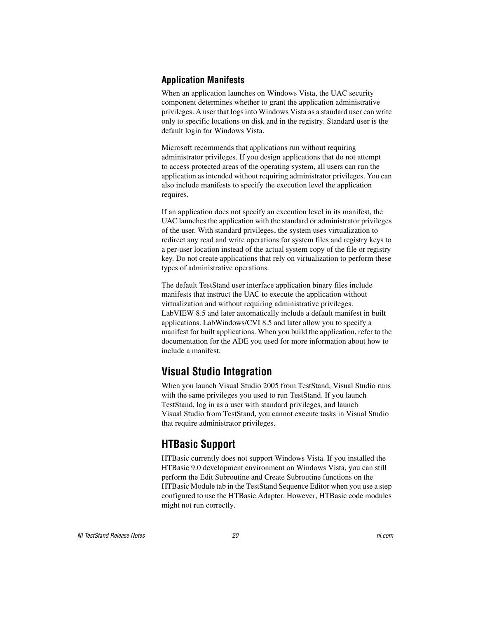#### **Application Manifests**

When an application launches on Windows Vista, the UAC security component determines whether to grant the application administrative privileges. A user that logs into Windows Vista as a standard user can write only to specific locations on disk and in the registry. Standard user is the default login for Windows Vista.

Microsoft recommends that applications run without requiring administrator privileges. If you design applications that do not attempt to access protected areas of the operating system, all users can run the application as intended without requiring administrator privileges. You can also include manifests to specify the execution level the application requires.

If an application does not specify an execution level in its manifest, the UAC launches the application with the standard or administrator privileges of the user. With standard privileges, the system uses virtualization to redirect any read and write operations for system files and registry keys to a per-user location instead of the actual system copy of the file or registry key. Do not create applications that rely on virtualization to perform these types of administrative operations.

The default TestStand user interface application binary files include manifests that instruct the UAC to execute the application without virtualization and without requiring administrative privileges. LabVIEW 8.5 and later automatically include a default manifest in built applications. LabWindows/CVI 8.5 and later allow you to specify a manifest for built applications. When you build the application, refer to the documentation for the ADE you used for more information about how to include a manifest.

# **Visual Studio Integration**

When you launch Visual Studio 2005 from TestStand, Visual Studio runs with the same privileges you used to run TestStand. If you launch TestStand, log in as a user with standard privileges, and launch Visual Studio from TestStand, you cannot execute tasks in Visual Studio that require administrator privileges.

# **HTBasic Support**

HTBasic currently does not support Windows Vista. If you installed the HTBasic 9.0 development environment on Windows Vista, you can still perform the Edit Subroutine and Create Subroutine functions on the HTBasic Module tab in the TestStand Sequence Editor when you use a step configured to use the HTBasic Adapter. However, HTBasic code modules might not run correctly.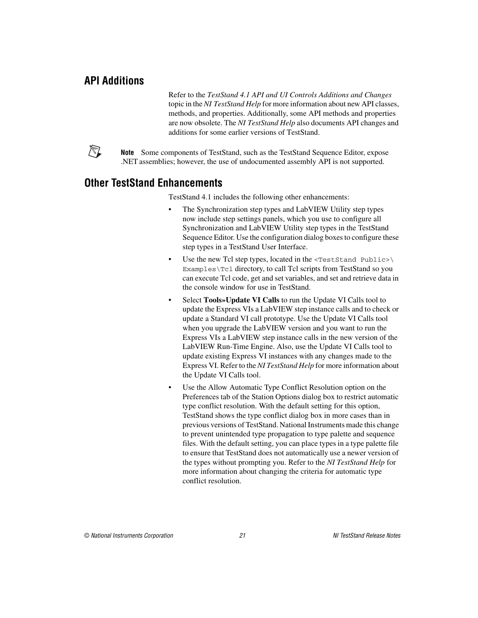## <span id="page-20-0"></span>**API Additions**

Refer to the *TestStand 4.1 API and UI Controls Additions and Changes*  topic in the *NI TestStand Help* for more information about new API classes, methods, and properties. Additionally, some API methods and properties are now obsolete. The *NI TestStand Help* also documents API changes and additions for some earlier versions of TestStand.



**Note** Some components of TestStand, such as the TestStand Sequence Editor, expose .NET assemblies; however, the use of undocumented assembly API is not supported.

#### <span id="page-20-1"></span>**Other TestStand Enhancements**

TestStand 4.1 includes the following other enhancements:

- The Synchronization step types and LabVIEW Utility step types now include step settings panels, which you use to configure all Synchronization and LabVIEW Utility step types in the TestStand Sequence Editor. Use the configuration dialog boxes to configure these step types in a TestStand User Interface.
- Use the new Tcl step types, located in the <TestStand Public>\ Examples\Tcl directory, to call Tcl scripts from TestStand so you can execute Tcl code, get and set variables, and set and retrieve data in the console window for use in TestStand.
- Select **Tools»Update VI Calls** to run the Update VI Calls tool to update the Express VIs a LabVIEW step instance calls and to check or update a Standard VI call prototype. Use the Update VI Calls tool when you upgrade the LabVIEW version and you want to run the Express VIs a LabVIEW step instance calls in the new version of the LabVIEW Run-Time Engine. Also, use the Update VI Calls tool to update existing Express VI instances with any changes made to the Express VI. Refer to the *NI TestStand Help* for more information about the Update VI Calls tool.
- Use the Allow Automatic Type Conflict Resolution option on the Preferences tab of the Station Options dialog box to restrict automatic type conflict resolution. With the default setting for this option, TestStand shows the type conflict dialog box in more cases than in previous versions of TestStand. National Instruments made this change to prevent unintended type propagation to type palette and sequence files. With the default setting, you can place types in a type palette file to ensure that TestStand does not automatically use a newer version of the types without prompting you. Refer to the *NI TestStand Help* for more information about changing the criteria for automatic type conflict resolution.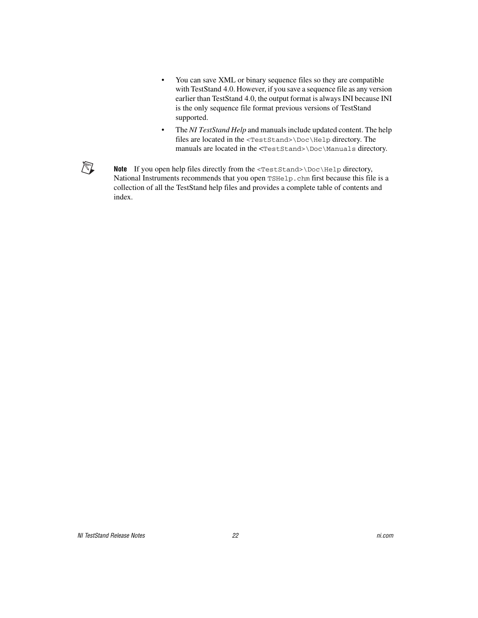- You can save XML or binary sequence files so they are compatible with TestStand 4.0. However, if you save a sequence file as any version earlier than TestStand 4.0, the output format is always INI because INI is the only sequence file format previous versions of TestStand supported.
- The *NI TestStand Help* and manuals include updated content. The help files are located in the <TestStand>\Doc\Help directory. The manuals are located in the <TestStand>\Doc\Manuals directory.

 $\mathbb{N}$ 

Note If you open help files directly from the <TestStand>\Doc\Help directory, National Instruments recommends that you open TSHelp.chm first because this file is a collection of all the TestStand help files and provides a complete table of contents and index.